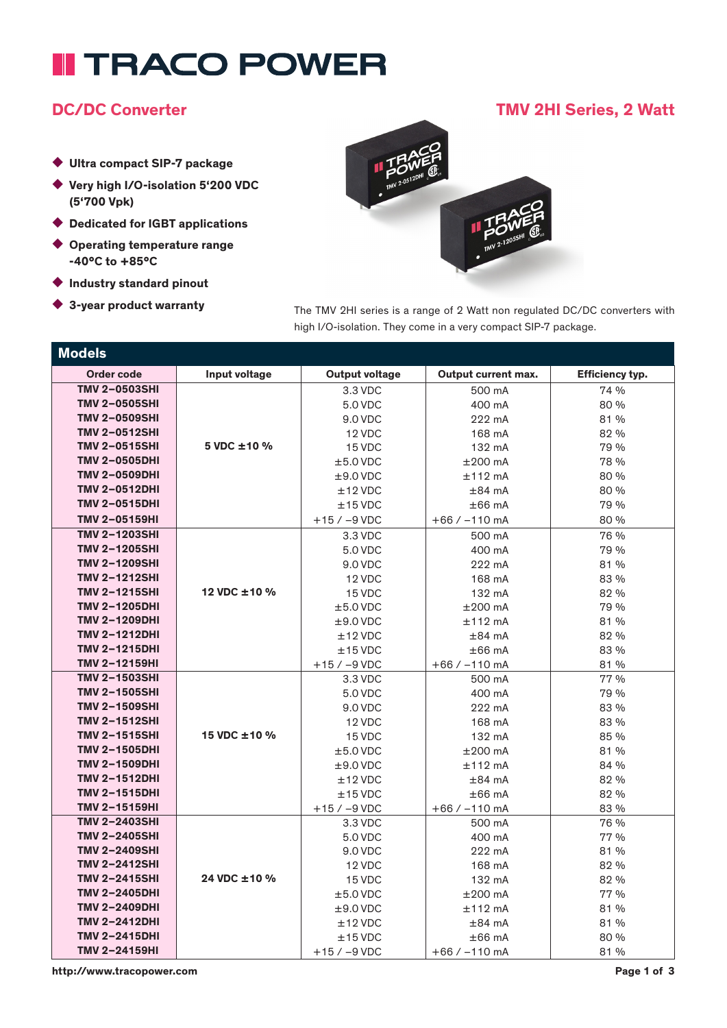# **II TRACO POWER**

### DC/DC Converter TMV 2HI Series, 2 Watt

- ◆ Ultra compact SIP-7 package
- ◆ Very high I/O-isolation 5'200 VDC (5'700 Vpk)
- ◆ Dedicated for IGBT applications
- ◆ Operating temperature range -40°C to +85°C
- ◆ Industry standard pinout
- 

◆ 3-year product warranty The TMV 2HI series is a range of 2 Watt non regulated DC/DC converters with high I/O-isolation. They come in a very compact SIP-7 package.

| <b>Models</b>        |               |                       |                            |                        |
|----------------------|---------------|-----------------------|----------------------------|------------------------|
| <b>Order code</b>    | Input voltage | <b>Output voltage</b> | <b>Output current max.</b> | <b>Efficiency typ.</b> |
| <b>TMV 2-0503SHI</b> |               | 3.3 VDC               | 500 mA                     | 74 %                   |
| <b>TMV 2-0505SHI</b> |               | 5.0 VDC               | 400 mA                     | 80 %                   |
| <b>TMV 2-0509SHI</b> |               | 9.0 VDC               | 222 mA                     | 81 %                   |
| <b>TMV 2-0512SHI</b> |               | 12 VDC                | 168 mA                     | 82 %                   |
| <b>TMV 2-0515SHI</b> | 5 VDC ±10 %   | 15 VDC                | 132 mA                     | 79 %                   |
| <b>TMV 2-0505DHI</b> |               | $±5.0$ VDC            | $±200$ mA                  | 78 %                   |
| <b>TMV 2-0509DHI</b> |               | $±9.0$ VDC            | $±112$ mA                  | 80 %                   |
| <b>TMV 2-0512DHI</b> |               | $±12$ VDC             | $±84$ mA                   | 80 %                   |
| <b>TMV 2-0515DHI</b> |               | $±15$ VDC             | $\pm 66$ mA                | 79 %                   |
| TMV 2-05159HI        |               | $+15 / -9$ VDC        | $+66 / -110$ mA            | 80 %                   |
| <b>TMV 2-1203SHI</b> |               | 3.3 VDC               | 500 mA                     | 76 %                   |
| <b>TMV 2-1205SHI</b> |               | 5.0 VDC               | 400 mA                     | 79 %                   |
| <b>TMV 2-1209SHI</b> |               | 9.0 VDC               | 222 mA                     | 81 %                   |
| <b>TMV 2-1212SHI</b> |               | 12 VDC                | 168 mA                     | 83 %                   |
| <b>TMV 2-1215SHI</b> | 12 VDC ±10 %  | 15 VDC                | 132 mA                     | 82 %                   |
| <b>TMV 2-1205DHI</b> |               | $±5.0$ VDC            | $±200$ mA                  | 79 %                   |
| <b>TMV 2-1209DHI</b> |               | $±9.0$ VDC            | $±112$ mA                  | 81 %                   |
| <b>TMV 2-1212DHI</b> |               | $±12$ VDC             | $\pm 84$ mA                | 82 %                   |
| <b>TMV 2-1215DHI</b> |               | $±15$ VDC             | $±66$ mA                   | 83 %                   |
| TMV 2-12159HI        |               | $+15 / -9$ VDC        | $+66 / -110$ mA            | 81 %                   |
| <b>TMV 2-1503SHI</b> |               | 3.3 VDC               | 500 mA                     | 77 %                   |
| <b>TMV 2-1505SHI</b> |               | 5.0 VDC               | 400 mA                     | 79 %                   |
| <b>TMV 2-1509SHI</b> |               | 9.0 VDC               | 222 mA                     | 83 %                   |
| <b>TMV 2-1512SHI</b> |               | 12 VDC                | 168 mA                     | 83 %                   |
| <b>TMV 2-1515SHI</b> | 15 VDC ±10 %  | 15 VDC                | 132 mA                     | 85 %                   |
| <b>TMV 2-1505DHI</b> |               | $±5.0$ VDC            | $±200$ mA                  | 81 %                   |
| <b>TMV 2-1509DHI</b> |               | $±9.0$ VDC            | $±112$ mA                  | 84 %                   |
| <b>TMV 2-1512DHI</b> |               | $±12$ VDC             | $\pm 84$ mA                | 82 %                   |
| <b>TMV 2-1515DHI</b> |               | $±15$ VDC             | $\pm 66$ mA                | 82 %                   |
| TMV 2-15159HI        |               | $+15 / -9$ VDC        | $+66 / -110$ mA            | 83 %                   |
| TMV 2-2403SHI        |               | 3.3 VDC               | 500 mA                     | 76 %                   |
| <b>TMV 2-2405SHI</b> |               | 5.0 VDC               | 400 mA                     | 77 %                   |
| <b>TMV 2-2409SHI</b> |               | 9.0 VDC               | 222 mA                     | 81 %                   |
| <b>TMV 2-2412SHI</b> |               | 12 VDC                | 168 mA                     | 82 %                   |
| <b>TMV 2-2415SHI</b> | 24 VDC ±10 %  | 15 VDC                | 132 mA                     | 82 %                   |
| <b>TMV 2-2405DHI</b> |               | $±5.0$ VDC            | $±200$ mA                  | 77 %                   |
| <b>TMV 2-2409DHI</b> |               | $±9.0$ VDC            | $±112$ mA                  | 81 %                   |
| <b>TMV 2-2412DHI</b> |               | $±12$ VDC             | $\pm 84$ mA                | 81 %                   |
| <b>TMV 2-2415DHI</b> |               | $±15$ VDC             | $±66$ mA                   | 80 %                   |
| TMV 2-24159HI        |               | $+15 / -9$ VDC        | $+66 / -110$ mA            | 81 %                   |

http://www.tracopower.com Page 1 of 3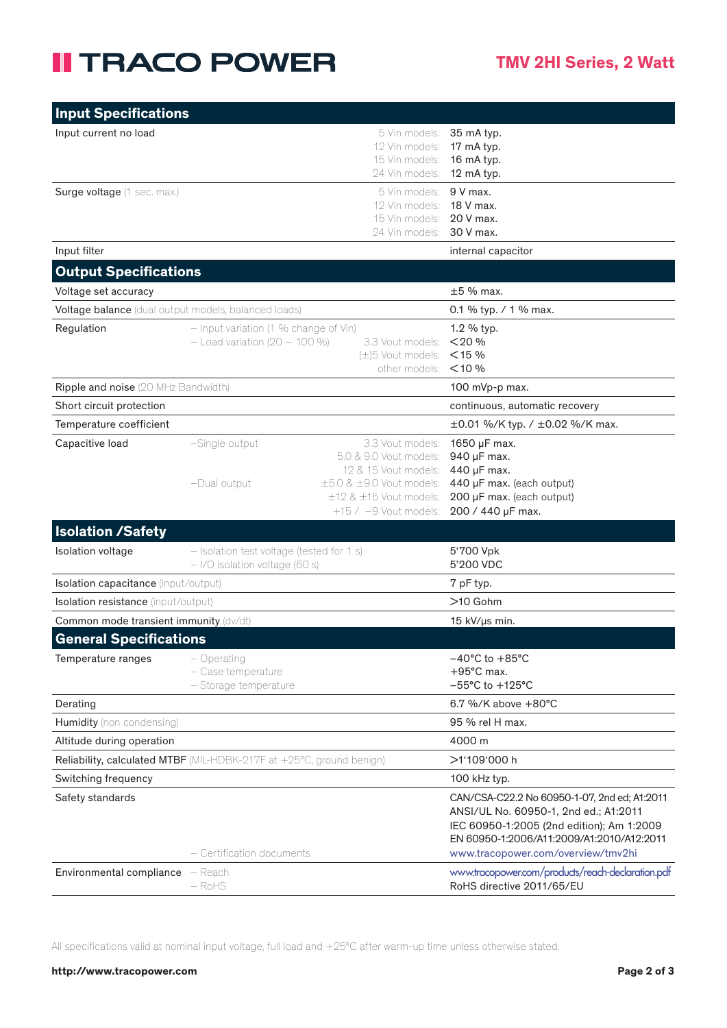## **II TRACO POWER**

| <b>Input Specifications</b>                                          |                                                                               |                                                                                                                                                                           |                                                                                                                                                                                                                       |
|----------------------------------------------------------------------|-------------------------------------------------------------------------------|---------------------------------------------------------------------------------------------------------------------------------------------------------------------------|-----------------------------------------------------------------------------------------------------------------------------------------------------------------------------------------------------------------------|
| Input current no load                                                |                                                                               | 5 Vin models:<br>12 Vin models:<br>15 Vin models:<br>24 Vin models:                                                                                                       | 35 mA typ.<br>17 mA typ.<br>16 mA typ.<br>12 mA typ.                                                                                                                                                                  |
| Surge voltage (1 sec. max.)                                          |                                                                               | 5 Vin models:<br>12 Vin models:<br>15 Vin models:<br>24 Vin models:                                                                                                       | $9V$ max.<br>18 V max.<br>20 V max.<br>30 V max.                                                                                                                                                                      |
| Input filter                                                         |                                                                               |                                                                                                                                                                           | internal capacitor                                                                                                                                                                                                    |
| <b>Output Specifications</b>                                         |                                                                               |                                                                                                                                                                           |                                                                                                                                                                                                                       |
| Voltage set accuracy                                                 |                                                                               |                                                                                                                                                                           | $±5%$ max.                                                                                                                                                                                                            |
| Voltage balance (dual output models, balanced loads)                 |                                                                               |                                                                                                                                                                           | 0.1 % typ. / 1 % max.                                                                                                                                                                                                 |
| Regulation                                                           | $-$ Input variation (1 % change of Vin)<br>$-$ Load variation (20 - 100 %)    | 3.3 Vout models:<br>$(\pm)5$ Vout models:<br>other models:                                                                                                                | 1.2 % typ.<br>< 20%<br>$<$ 15 %<br>$<$ 10 %                                                                                                                                                                           |
| Ripple and noise (20 MHz Bandwidth)                                  |                                                                               |                                                                                                                                                                           | 100 mVp-p max.                                                                                                                                                                                                        |
| Short circuit protection                                             |                                                                               |                                                                                                                                                                           | continuous, automatic recovery                                                                                                                                                                                        |
| Temperature coefficient                                              |                                                                               |                                                                                                                                                                           | ±0.01 %/K typ. / ±0.02 %/K max.                                                                                                                                                                                       |
| Capacitive load                                                      | -Single output<br>-Dual output                                                | 3.3 Vout models:<br>5.0 & 9.0 Vout models:<br>12 & 15 Vout models:<br>$\pm 5.0$ & $\pm 9.0$ Vout models:<br>$\pm$ 12 & $\pm$ 15 Vout models:<br>$+15$ / $-9$ Vout models: | 1650 µF max.<br>940 µF max.<br>440 µF max.<br>440 µF max. (each output)<br>200 µF max. (each output)<br>200 / 440 µF max.                                                                                             |
| <b>Isolation /Safety</b>                                             |                                                                               |                                                                                                                                                                           |                                                                                                                                                                                                                       |
| Isolation voltage                                                    | - Isolation test voltage (tested for 1 s)<br>$-1$ /O isolation voltage (60 s) |                                                                                                                                                                           | 5'700 Vpk<br>5'200 VDC                                                                                                                                                                                                |
| Isolation capacitance (input/output)                                 |                                                                               |                                                                                                                                                                           | 7 pF typ.                                                                                                                                                                                                             |
| <b>Isolation resistance</b> (input/output)                           |                                                                               |                                                                                                                                                                           | >10 Gohm                                                                                                                                                                                                              |
| Common mode transient immunity (dv/dt)                               |                                                                               | 15 kV/us min.                                                                                                                                                             |                                                                                                                                                                                                                       |
| <b>General Specifications</b>                                        |                                                                               |                                                                                                                                                                           |                                                                                                                                                                                                                       |
| Temperature ranges                                                   | – Operating<br>- Case temperature<br>- Storage temperature                    |                                                                                                                                                                           | $-40^{\circ}$ C to $+85^{\circ}$ C<br>$+95^{\circ}$ C max.<br>$-55^{\circ}$ C to $+125^{\circ}$ C                                                                                                                     |
| Derating                                                             |                                                                               |                                                                                                                                                                           | 6.7 %/K above +80°C                                                                                                                                                                                                   |
| Humidity (non condensing)                                            |                                                                               |                                                                                                                                                                           | 95 % rel H max.                                                                                                                                                                                                       |
| Altitude during operation                                            |                                                                               |                                                                                                                                                                           | 4000 m                                                                                                                                                                                                                |
| Reliability, calculated MTBF (MIL-HDBK-217F at +25°C, ground benign) |                                                                               |                                                                                                                                                                           | >1'109'000 h                                                                                                                                                                                                          |
| Switching frequency                                                  |                                                                               |                                                                                                                                                                           | 100 kHz typ.                                                                                                                                                                                                          |
| Safety standards                                                     | - Certification documents                                                     |                                                                                                                                                                           | CAN/CSA-C22.2 No 60950-1-07, 2nd ed; A1:2011<br>ANSI/UL No. 60950-1, 2nd ed.; A1:2011<br>IEC 60950-1:2005 (2nd edition); Am 1:2009<br>EN 60950-1:2006/A11:2009/A1:2010/A12:2011<br>www.tracopower.com/overview/tmv2hi |
| <b>Environmental compliance</b> – Reach                              | $-$ RoHS                                                                      |                                                                                                                                                                           | www.tracopower.com/products/reach-declaration.pdf<br>RoHS directive 2011/65/EU                                                                                                                                        |

All specifications valid at nominal input voltage, full load and +25°C after warm-up time unless otherwise stated.